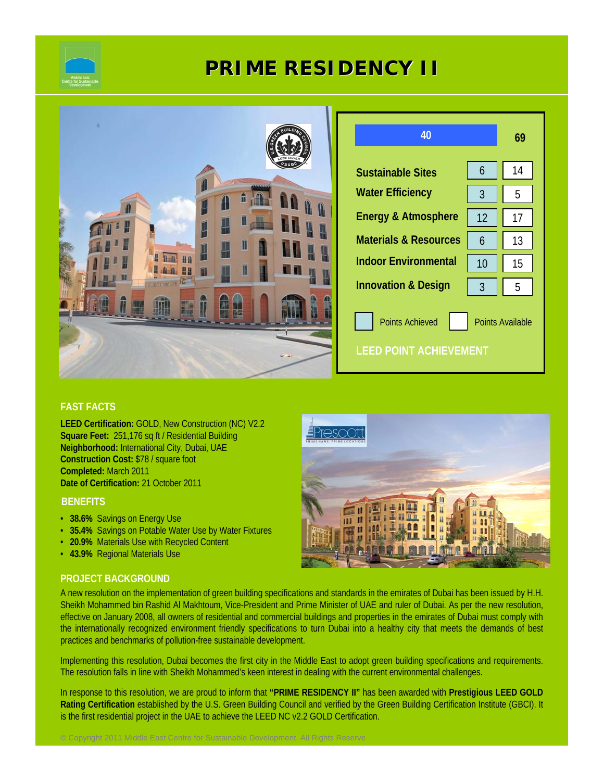

# **PRIME RESIDENCY II**



# **FAST FACTS**

**LEED Certification:** GOLD, New Construction (NC) V2.2 **Square Feet:** 251,176 sq ft / Residential Building **Neighborhood:** International City, Dubai, UAE **Construction Cost:** \$78 / square foot **Completed:** March 2011 **Date of Certification:** 21 October 2011

## **BENEFITS**

- **38.6%** Savings on Energy Use
- **35.4%** Savings on Potable Water Use by Water Fixtures

© Copyright 2011 Middle East Centre for Sustainable Development. All Rights Reserve

- **20.9%** Materials Use with Recycled Content
- **43.9%** Regional Materials Use

## **PROJECT BACKGROUND**

A new resolution on the implementation of green building specifications and standards in the emirates of Dubai has been issued by H.H. Sheikh Mohammed bin Rashid Al Makhtoum, Vice-President and Prime Minister of UAE and ruler of Dubai. As per the new resolution, effective on January 2008, all owners of residential and commercial buildings and properties in the emirates of Dubai must comply with the internationally recognized environment friendly specifications to turn Dubai into a healthy city that meets the demands of best practices and benchmarks of pollution-free sustainable development.

Implementing this resolution, Dubai becomes the first city in the Middle East to adopt green building specifications and requirements. The resolution falls in line with Sheikh Mohammed's keen interest in dealing with the current environmental challenges.

In response to this resolution, we are proud to inform that **"PRIME RESIDENCY II"** has been awarded with **Prestigious LEED GOLD Rating Certification** established by the U.S. Green Building Council and verified by the Green Building Certification Institute (GBCI). It is the first residential project in the UAE to achieve the LEED NC v2.2 GOLD Certification.